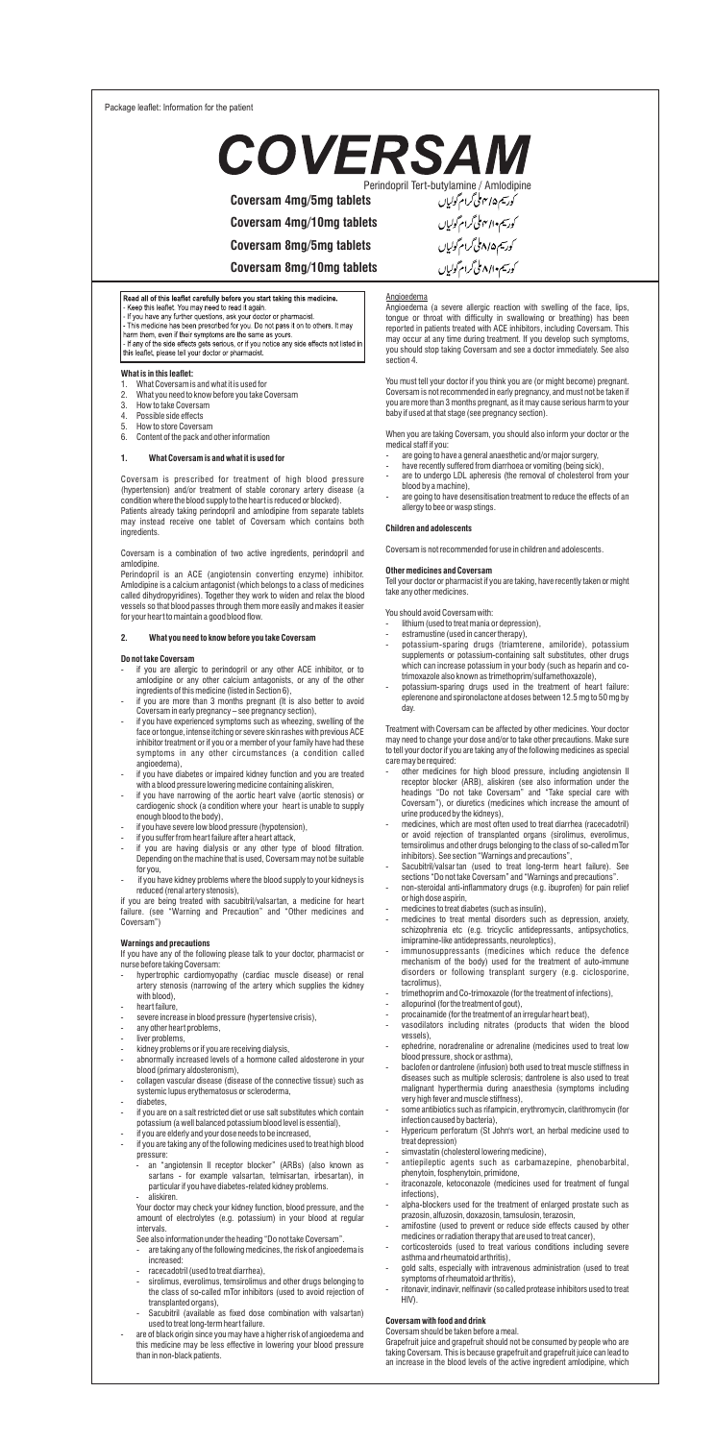Package leaflet: Information for the patient



**Coversam 4mg/5mg tablets**

**Coversam 4mg/10mg tablets**

**Coversam 8mg/5mg tablets**

**Coversam 8mg/10mg tablets**

# Read all of this leaflet carefully before you start taking this medicin

Next and to the state that the state of the state of the state of the state of the state of the state of the state of the state of the state of the state of the state of the state of the state of the state of the state of

- **What is in this leaflet:**
- 
- 1. What Coversam is and what it is used for 2. What you need to know before you take Coversam
- 3. How to take Coversam<br>4 Possible side effects
- 4. Possible side effects<br>5. How to store Covers: How to store Coversam
- 6. Content of the pack and other information

#### **1. What Coversam is and what it is used for**

Coversam is prescribed for treatment of high blood pressure (hypertension) and/or treatment of stable coronary artery disease (a condition where the blood supply to the heart is reduced or blocked). Patients already taking perindopril and amlodipine from separate tablets may instead receive one tablet of Coversam which contains both ,<br>edients

Coversam is a combination of two active ingredients, perindopril and amlodipine.

Perindopril is an ACE (angiotensin converting enzyme) inhibitor. Amlodipine is a calcium antagonist (which belongs to a class of medicines called dihydropyridines). Together they work to widen and relax the blood vessels so that blood passes through them more easily and makes it easier for your heart to maintain a good blood flow.

#### **2. What you need to know before you take Coversam**

### **Do not take Coversam**

- if you are allergic to perindopril or any other ACE inhibitor, or to
- amlodipine or any other calcium antagonists, or any of the other<br>ingredients of this medicine (listed in Section 6),<br>If you are more than 3 months pregnant (It is also better to avoid<br>towersaminearly pregnancy see pregna
- if you have experienced symptoms such as wheezing, swelling of the face or tongue, intense itching or severe skin rashes with previous ACE inhibitor treatment or if you or a member of your family have had these symptoms in any other circumstances (a condition called angioedema),
- if you have diabetes or impaired kidney function and you are treated
- with a blood pressure lowering medicine containing aliskiren,<br>- if you have narrowing of the aortic heart valve (aortic stenosis) or<br>cardiogenic shock (a condition where your heart is unable to supply<br>enough blood to the b
- if you have severe low blood pressure (hypotension),
- 
- if you suffer from heart failure after a heart attack, if you are having dialysis or any other type of blood ltration. Depending on the machine that is used, Coversam may not be suitable for you,
- if you have kidney problems where the blood supply to your kidneys is

reduced (renal artery stenosis), if you are being treated with sacubitril/valsartan, a medicine for heart failure. (see "Warning and Precaution" and "Other medicines and Coversam")

- Warnings and precautions<br>
If you have any of the following please talk to your doctor, pharmacist or<br>
nurse before taking Coversam:<br>
 hypertrophic cardiomyopathy (cardiac muscle disease) or renal<br>
artery stenosis (narrowi
- with blood), heart failure
- severe increase in blood pressure (hypertensive crisis), any other heart problems,
- 
- liver problems, kidney problems or if you are receiving dialysis,
- abnormally increased levels of a hormone called aldosterone in your
- blood (primary aldosteronism), collagen vascular disease (disease of the connective tissue) such as
- systemic lupus erythematosus or scleroderma, diabetes,
- if you are on a salt restricted diet or use salt substitutes which contain
- potassium (a well balanced potassium blood level is essential), if you are elderly and your dose needs to be increased,
- if you are taking any of the following medicines used to treat high blood
- pressure: - an "angiotensin II receptor blocker" (ARBs) (also known as sartans - for example valsartan, telmisartan, irbesartan), in particular if you have diabetes-related kidney problems.
- aliskiren. Your doctor may check your kidney function, blood pressure, and the
- amount of electrolytes (e.g. potassium) in your blood at regular intervals. See also information under the heading "Do not take Coversam".
- are taking any of the following medicines, the risk of angioedema is increased:
- racecadotril (used to treat diarrhea),
- sirolimus, everolimus, temsirolimus and other drugs belonging to the class of so-called mTor inhibitors (used to avoid rejection of transplanted organs),
- Sacubitril (available as fixed dose combination with valsartan)
- used to treat long-term heart failure. are of black origin since you may have a higher risk of angioedema and this medicine may be less effective in lowering your blood pressure than in non-black patients.

<u>Angioedema</u><br>Angioedema (a severe allergic reaction with swelling of the face, lips,<br>tongue or throat with difficulty in swallowing or breathing) has been<br>reported in patients treated with ACE inhibitors, including Coversa may occur at any time during treatment. If you develop such symptoms, you should stop taking Coversam and see a doctor immediately. See also you shou

You must tell your doctor if you think you are (or might become) pregnant. Coversam is not recommended in early pregnancy, and must not be taken if you are more than 3 months pregnant, as it may cause serious harm to your baby if used at that stage (see pregnancy section).

When you are taking Coversam, you should also inform your doctor or the medical staff if you:

- 
- are going to have a general anaesthetic and/or major surgery, have recently suffered from diarrhoea or vomiting (being sick), are to undergo LDL apheresis (the removal of cholesterol from your
- blood by a machine), are going to have desensitisation treatment to reduce the effects of an ergy to bee or wasp stings.

# **Children and adolescents**

Coversam is not recommended for use in children and adolescents.

#### **Other medicines and Coversam**

Tell your doctor or pharmacist if you are taking, have recently taken or might take any other medicines.

You should avoid Coversam with:

- 
- lithium (used to treat mania or depression), estramustine (used in cancer therapy),
- potassium-sparing drugs (triamterene, amiloride), potassium supplements or potassium-containing salt substitutes, other drugs<br>which can increase potassium in your body (such as heparin and co-<br>trimoxazole also known as trimethoprim/sulfamethoxazole),<br>- potassium-sparing drugs used
- eplerenone and spironolactone at doses between 12.5 mg to 50 mg by day.

Treatment with Coversam can be affected by other medicines. Your doctor<br>may need to change your dose and/or to take other precautions. Make sure<br>to tell your doctor if you are taking any of the following medicines as speci

- care may be required: other medicines for high blood pressure, including angiotensin II receptor blocker (ARB), aliskiren (see also information under the headings "Do not take Coversam" and "Take special care with Coversam"), or diuretics (medicines which increase the amount of urine produced by the kidneys),
- medicines, which are most often used to treat diarrhea (racecadotril) or avoid rejection of transplanted organs (sirolimus, everolimus, temsirolimus and other drugs belonging to the class of so-called mTor
- inhibitors). See section "Warnings and precautions", Sacubitril/valsar tan (used to treat long-term heart failure). See sections "Do not take Coversam" and "Warnings and precautions".
- non-steroidal anti-inflammatory drugs (e.g. ibuprofen) for pain relief or high dose aspirin,
- 
- medicines to treat diabetes (such as insulin), medicines to treat mental disorders such as depression, anxiety, schizophrenia etc (e.g. tricyclic antidepressants, antipsychotics, imipramine-like antidepressants, neuroleptics), - immunosuppressants (medicines which reduce the defence
- mechanism of the body) used for the treatment of auto-immune disorders or following transplant surgery (e.g. ciclosporine, tacrolimus),
- trimethoprim and Co-trimoxazole (for the treatment of infections), allopurinol (for the treatment of gout),
- 
- procainamide (for the treatment of an irregular heart beat), vasodilators including nitrates (products that widen the blood vessels),
- ephedrine, noradrenaline or adrenaline (medicines used to treat low blood pressure, shock or asthma), baclofen or dantrolene (infusion) both used to treat muscle stiffness in
- diseases such as multiple sclerosis; dantrolene is also used to treat malignant hyperthermia during anaesthesia (symptoms including very high fever and muscle stiffness), - some antibiotics such as rifampicin, erythromycin, clarithromycin (for infection caused by bacteria),
- 
- Hypericum perforatum (St John's wort, an herbal medicine used to treat depression)
- simvastatin (cholesterol lowering medicine),
- antiepileptic agents such as carbamazepine, phenobarbital, phenytoin, fosphenytoin, primidone,
- itraconazole, ketoconazole (medicines used for treatment of fungal infections),
- alpha-blockers used for the treatment of enlarged prostate such as
- prazosin, alfuzosin, doxazosin, tamsulosin, terazosin, amifostine (used to prevent or reduce side effects caused by other
- medicines or radiation therapy that are used to treat cancer), corticosteroids (used to treat various conditions including severe
- asthma and rheumatoid arthritis), gold salts, especially with intravenous administration (used to treat symptoms of rheumatoid arthritis), ritonavir, indinavir, nelnavir (so called protease inhibitors used to treat
- HIV).

### **Coversam with food and drink** Coversam should be taken before a meal.

Grapefruit juice and grapefruit should not be consumed by people who are taking Coversam. This is because grapefruit and grapefruit juice can lead to an increase in the blood levels of the active ingredient amlodipine, which

کورسیم•ال<sup>4</sup>ملی گرام گولی<u>ا</u>ں کورسیم۱/۵ملی گرام گولیاں کورسیم ۸/۱۰ ملی گرام گولیاں